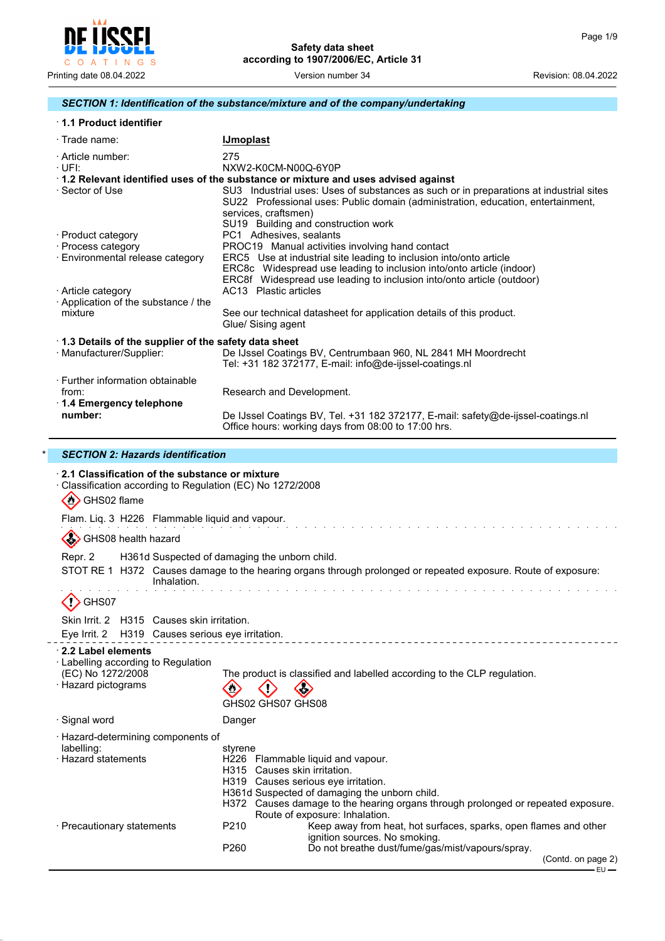

# *SECTION 1: Identification of the substance/mixture and of the company/undertaking*

# · **1.1 Product identifier**

| $\cdot$ Trade name:                                                          | <b>IJmoplast</b>                                                                                                                                                                                                                          |
|------------------------------------------------------------------------------|-------------------------------------------------------------------------------------------------------------------------------------------------------------------------------------------------------------------------------------------|
| · Article number:<br>·UFI:                                                   | 275<br>NXW2-K0CM-N00Q-6Y0P                                                                                                                                                                                                                |
|                                                                              | $\cdot$ 1.2 Relevant identified uses of the substance or mixture and uses advised against                                                                                                                                                 |
| · Sector of Use                                                              | SU3 Industrial uses: Uses of substances as such or in preparations at industrial sites<br>SU22 Professional uses: Public domain (administration, education, entertainment,<br>services, craftsmen)<br>SU19 Building and construction work |
| · Product category                                                           | PC1 Adhesives, sealants                                                                                                                                                                                                                   |
| · Process category                                                           | PROC19 Manual activities involving hand contact                                                                                                                                                                                           |
| · Environmental release category                                             | ERC5 Use at industrial site leading to inclusion into/onto article                                                                                                                                                                        |
| · Article category                                                           | ERC8c Widespread use leading to inclusion into/onto article (indoor)<br>ERC8f Widespread use leading to inclusion into/onto article (outdoor)<br>AC13 Plastic articles                                                                    |
| $\cdot$ Application of the substance / the                                   |                                                                                                                                                                                                                                           |
| mixture                                                                      | See our technical datasheet for application details of this product.<br>Glue/ Sising agent                                                                                                                                                |
| 1.3 Details of the supplier of the safety data sheet                         |                                                                                                                                                                                                                                           |
| · Manufacturer/Supplier:                                                     | De IJssel Coatings BV, Centrumbaan 960, NL 2841 MH Moordrecht<br>Tel: +31 182 372177, E-mail: info@de-ijssel-coatings.nl                                                                                                                  |
| · Further information obtainable<br>from:<br>$\cdot$ 1.4 Emergency telephone | Research and Development.                                                                                                                                                                                                                 |
| number:                                                                      | De IJssel Coatings BV, Tel. +31 182 372177, E-mail: safety@de-ijssel-coatings.nl<br>Office hours: working days from 08:00 to 17:00 hrs.                                                                                                   |

# \* *SECTION 2: Hazards identification*

 $\overline{a}$ 

| 31011011 <i>1.11</i> 929193796111111091101                                                                                |                                                                                                                                                                                                                                                                                            |
|---------------------------------------------------------------------------------------------------------------------------|--------------------------------------------------------------------------------------------------------------------------------------------------------------------------------------------------------------------------------------------------------------------------------------------|
| 2.1 Classification of the substance or mixture<br>Classification according to Regulation (EC) No 1272/2008<br>GHS02 flame |                                                                                                                                                                                                                                                                                            |
| Flam. Liq. 3 H226 Flammable liquid and vapour.                                                                            |                                                                                                                                                                                                                                                                                            |
| GHS08 health hazard                                                                                                       |                                                                                                                                                                                                                                                                                            |
| Repr. 2                                                                                                                   | H361d Suspected of damaging the unborn child.                                                                                                                                                                                                                                              |
| Inhalation.                                                                                                               | STOT RE 1 H372 Causes damage to the hearing organs through prolonged or repeated exposure. Route of exposure:                                                                                                                                                                              |
| $\langle$ ! $\rangle$ GHS07                                                                                               |                                                                                                                                                                                                                                                                                            |
| Skin Irrit, 2 H315 Causes skin irritation.<br>Eye Irrit. 2 H319 Causes serious eye irritation.                            |                                                                                                                                                                                                                                                                                            |
| 2.2 Label elements<br>· Labelling according to Regulation<br>(EC) No 1272/2008<br><b>Hazard pictograms</b>                | The product is classified and labelled according to the CLP regulation.<br>₿<br>GHS02 GHS07 GHS08                                                                                                                                                                                          |
| · Signal word                                                                                                             | Danger                                                                                                                                                                                                                                                                                     |
| Hazard-determining components of<br>labelling:<br><b>Hazard statements</b>                                                | styrene<br>H226 Flammable liquid and vapour.<br>H315 Causes skin irritation.<br>H319 Causes serious eye irritation.<br>H361d Suspected of damaging the unborn child.<br>H372 Causes damage to the hearing organs through prolonged or repeated exposure.<br>Route of exposure: Inhalation. |
| · Precautionary statements                                                                                                | P <sub>210</sub><br>Keep away from heat, hot surfaces, sparks, open flames and other<br>ignition sources. No smoking.<br>Do not breathe dust/fume/gas/mist/vapours/spray.<br>P <sub>260</sub>                                                                                              |
|                                                                                                                           | (Contd. on page 2)                                                                                                                                                                                                                                                                         |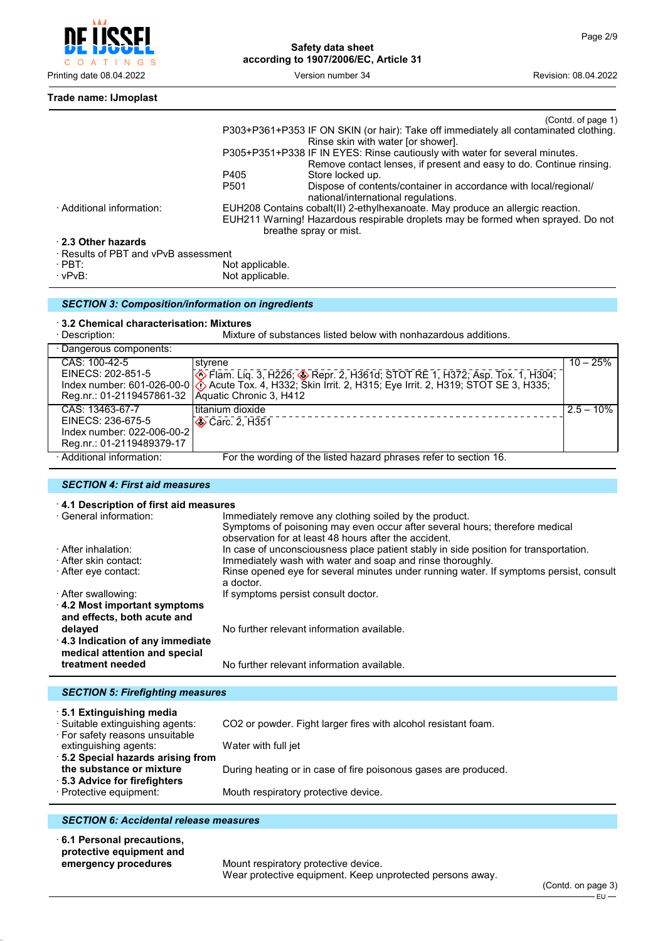

```
Trade name: IJmoplast
```

|                                      |                  | (Contd. of page 1)                                                                                      |
|--------------------------------------|------------------|---------------------------------------------------------------------------------------------------------|
|                                      |                  | P303+P361+P353 IF ON SKIN (or hair): Take off immediately all contaminated clothing.                    |
|                                      |                  | Rinse skin with water [or shower].                                                                      |
|                                      |                  | P305+P351+P338 IF IN EYES: Rinse cautiously with water for several minutes.                             |
|                                      |                  | Remove contact lenses, if present and easy to do. Continue rinsing.                                     |
|                                      | P405             | Store locked up.                                                                                        |
|                                      | P <sub>501</sub> | Dispose of contents/container in accordance with local/regional/<br>national/international regulations. |
| · Additional information:            |                  | EUH208 Contains cobalt(II) 2-ethylhexanoate. May produce an allergic reaction.                          |
|                                      |                  | EUH211 Warning! Hazardous respirable droplets may be formed when sprayed. Do not                        |
|                                      |                  | breathe spray or mist.                                                                                  |
| 2.3 Other hazards                    |                  |                                                                                                         |
| · Results of PBT and vPvB assessment |                  |                                                                                                         |
| $\cdot$ PBT:                         | Not applicable.  |                                                                                                         |

· vPvB: Not applicable.

| <b>SECTION 3: Composition/information on ingredients</b> |  |
|----------------------------------------------------------|--|

#### · **3.2 Chemical characterisation: Mixtures**

| Mixture of substances listed below with nonhazardous additions.<br>· Description:               |                                                                                                                                                                                                                                                                                              |              |  |  |
|-------------------------------------------------------------------------------------------------|----------------------------------------------------------------------------------------------------------------------------------------------------------------------------------------------------------------------------------------------------------------------------------------------|--------------|--|--|
| · Dangerous components:                                                                         |                                                                                                                                                                                                                                                                                              |              |  |  |
| CAS: 100-42-5<br>Reg.nr.: 01-2119457861-32                                                      | styrene<br>EINECS: 202-851-5<br>Index number: 601-026-00-0 $\circled{ }$ Flam. Liq. 3, H226; $\circled{ }$ Repr. 2, H361d; STOT RE 1, H372; Asp. Tox. 1, H304;<br>Index number: 601-026-00-0 $\circled{ }$ Acute Tox. 4, H332; Skin Irrit. 2, H315; Eye Irrit. 2,<br>Aquatic Chronic 3, H412 | $10 - 25%$   |  |  |
| CAS: 13463-67-7<br>EINECS: 236-675-5<br>Index number: 022-006-00-2<br>Reg.nr.: 01-2119489379-17 | titanium dioxide<br><b>◆ Carc. 2, H351</b>                                                                                                                                                                                                                                                   | $2.5 - 10\%$ |  |  |
| · Additional information:                                                                       | For the wording of the listed hazard phrases refer to section 16.                                                                                                                                                                                                                            |              |  |  |

# *SECTION 4: First aid measures*

| 4.1 Description of first aid measures                              |                                                                                                                                                                                                |  |  |
|--------------------------------------------------------------------|------------------------------------------------------------------------------------------------------------------------------------------------------------------------------------------------|--|--|
| · General information:                                             | Immediately remove any clothing soiled by the product.<br>Symptoms of poisoning may even occur after several hours; therefore medical<br>observation for at least 48 hours after the accident. |  |  |
|                                                                    |                                                                                                                                                                                                |  |  |
| · After inhalation:                                                | In case of unconsciousness place patient stably in side position for transportation.                                                                                                           |  |  |
| · After skin contact:                                              | Immediately wash with water and soap and rinse thoroughly.                                                                                                                                     |  |  |
| ⋅ After eye contact:                                               | Rinse opened eye for several minutes under running water. If symptoms persist, consult<br>a doctor.                                                                                            |  |  |
| · After swallowing:                                                | If symptoms persist consult doctor.                                                                                                                                                            |  |  |
| $\cdot$ 4.2 Most important symptoms<br>and effects, both acute and |                                                                                                                                                                                                |  |  |
| delayed                                                            | No further relevant information available.                                                                                                                                                     |  |  |
| 4.3 Indication of any immediate<br>medical attention and special   |                                                                                                                                                                                                |  |  |
| treatment needed                                                   | No further relevant information available.                                                                                                                                                     |  |  |
|                                                                    |                                                                                                                                                                                                |  |  |
| <b>SECTION 5: Firefighting measures</b>                            |                                                                                                                                                                                                |  |  |

| 5.1 Extinguishing media                                             |                                                                 |
|---------------------------------------------------------------------|-----------------------------------------------------------------|
| · Suitable extinguishing agents:<br>· For safety reasons unsuitable | CO2 or powder. Fight larger fires with alcohol resistant foam.  |
| extinguishing agents:                                               | Water with full jet                                             |
| 5.2 Special hazards arising from                                    |                                                                 |
| the substance or mixture                                            | During heating or in case of fire poisonous gases are produced. |
| ⋅ 5.3 Advice for firefighters                                       |                                                                 |
| · Protective equipment:                                             | Mouth respiratory protective device.                            |
|                                                                     |                                                                 |

# *SECTION 6: Accidental release measures*

· **6.1 Personal precautions, protective equipment and**

**Mount respiratory protective device.** Wear protective equipment. Keep unprotected persons away.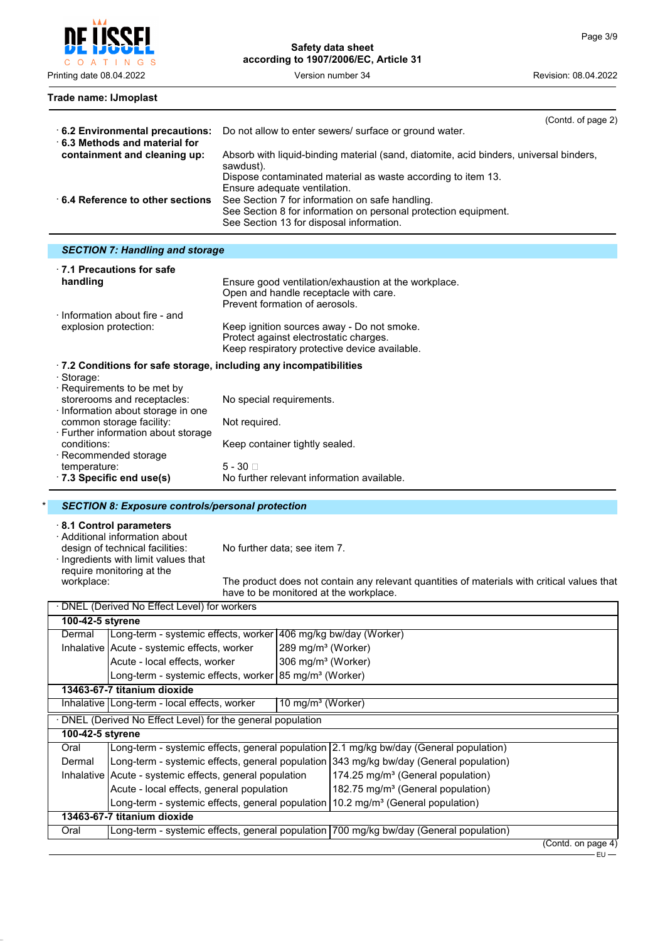Printing date 08.04.2022 Version number 34 Revision: 08.04.2022

#### **Trade name: IJmoplast**

|                                                                        | (Contd. of page 2)                                                                                  |
|------------------------------------------------------------------------|-----------------------------------------------------------------------------------------------------|
| 6.2 Environmental precautions:<br>$\cdot$ 6.3 Methods and material for | Do not allow to enter sewers/ surface or ground water.                                              |
| containment and cleaning up:                                           | Absorb with liquid-binding material (sand, diatomite, acid binders, universal binders,<br>sawdust). |
|                                                                        | Dispose contaminated material as waste according to item 13.<br>Ensure adequate ventilation.        |
| 6.4 Reference to other sections                                        | See Section 7 for information on safe handling.                                                     |
|                                                                        | See Section 8 for information on personal protection equipment.                                     |
|                                                                        | See Section 13 for disposal information.                                                            |

# *SECTION 7: Handling and storage*

| Ensure good ventilation/exhaustion at the workplace.<br>Open and handle receptacle with care.<br>Prevent formation of aerosols.       |
|---------------------------------------------------------------------------------------------------------------------------------------|
| Keep ignition sources away - Do not smoke.<br>Protect against electrostatic charges.<br>Keep respiratory protective device available. |
| $\cdot$ 7.2 Conditions for safe storage, including any incompatibilities                                                              |
|                                                                                                                                       |
| No special requirements.                                                                                                              |
| Not required.                                                                                                                         |
| Keep container tightly sealed.                                                                                                        |
| $5 - 30 \square$<br>No further relevant information available.                                                                        |
|                                                                                                                                       |

#### \* *SECTION 8: Exposure controls/personal protection*

#### · **8.1 Control parameters**

· Additional information about

design of technical facilities: No further data; see item 7.

· Ingredients with limit values that require monitoring at the<br>workplace:

The product does not contain any relevant quantities of materials with critical values that have to be monitored at the workplace.

|                             | · DNEL (Derived No Effect Level) for workers                                                 |                                |                                                                                        |                    |  |
|-----------------------------|----------------------------------------------------------------------------------------------|--------------------------------|----------------------------------------------------------------------------------------|--------------------|--|
|                             | 100-42-5 styrene                                                                             |                                |                                                                                        |                    |  |
| Dermal                      | Long-term - systemic effects, worker 406 mg/kg bw/day (Worker)                               |                                |                                                                                        |                    |  |
|                             | Inhalative   Acute - systemic effects, worker                                                | 289 mg/m <sup>3</sup> (Worker) |                                                                                        |                    |  |
|                             | Acute - local effects, worker                                                                | 306 mg/m <sup>3</sup> (Worker) |                                                                                        |                    |  |
|                             | Long-term - systemic effects, worker 85 mg/m <sup>3</sup> (Worker)                           |                                |                                                                                        |                    |  |
|                             | 13463-67-7 titanium dioxide                                                                  |                                |                                                                                        |                    |  |
|                             | Inhalative   Long-term - local effects, worker                                               | 10 mg/m <sup>3</sup> (Worker)  |                                                                                        |                    |  |
|                             | DNEL (Derived No Effect Level) for the general population                                    |                                |                                                                                        |                    |  |
| 100-42-5 styrene            |                                                                                              |                                |                                                                                        |                    |  |
| Oral                        |                                                                                              |                                | Long-term - systemic effects, general population 2.1 mg/kg bw/day (General population) |                    |  |
| Dermal                      |                                                                                              |                                | Long-term - systemic effects, general population 343 mg/kg bw/day (General population) |                    |  |
|                             | Inhalative   Acute - systemic effects, general population                                    |                                | 174.25 mg/m <sup>3</sup> (General population)                                          |                    |  |
|                             | Acute - local effects, general population                                                    |                                | 182.75 mg/m <sup>3</sup> (General population)                                          |                    |  |
|                             | Long-term - systemic effects, general population 10.2 mg/m <sup>3</sup> (General population) |                                |                                                                                        |                    |  |
| 13463-67-7 titanium dioxide |                                                                                              |                                |                                                                                        |                    |  |
| Oral                        |                                                                                              |                                | Long-term - systemic effects, general population 700 mg/kg bw/day (General population) |                    |  |
|                             |                                                                                              |                                |                                                                                        | (Contd. on page 4) |  |

EU

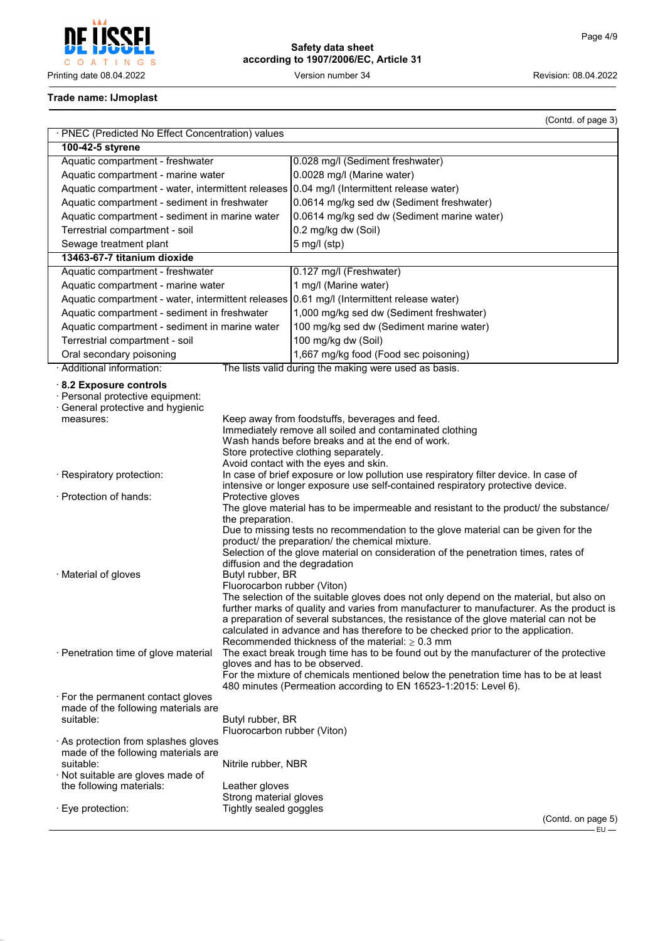

# **Safety data sheet according to 1907/2006/EC, Article 31**

# **Trade name: IJmoplast**

|                                                                                                           |                                                                                                                                                                                                                                                                                                                                                                                                                                                                                                                                                                                                                   | (Contd. of page 3)                                                                                                                                                                                                                                                                                                                                                                                             |  |
|-----------------------------------------------------------------------------------------------------------|-------------------------------------------------------------------------------------------------------------------------------------------------------------------------------------------------------------------------------------------------------------------------------------------------------------------------------------------------------------------------------------------------------------------------------------------------------------------------------------------------------------------------------------------------------------------------------------------------------------------|----------------------------------------------------------------------------------------------------------------------------------------------------------------------------------------------------------------------------------------------------------------------------------------------------------------------------------------------------------------------------------------------------------------|--|
| · PNEC (Predicted No Effect Concentration) values                                                         |                                                                                                                                                                                                                                                                                                                                                                                                                                                                                                                                                                                                                   |                                                                                                                                                                                                                                                                                                                                                                                                                |  |
| 100-42-5 styrene                                                                                          |                                                                                                                                                                                                                                                                                                                                                                                                                                                                                                                                                                                                                   |                                                                                                                                                                                                                                                                                                                                                                                                                |  |
| Aquatic compartment - freshwater                                                                          |                                                                                                                                                                                                                                                                                                                                                                                                                                                                                                                                                                                                                   | 0.028 mg/l (Sediment freshwater)                                                                                                                                                                                                                                                                                                                                                                               |  |
| Aquatic compartment - marine water                                                                        |                                                                                                                                                                                                                                                                                                                                                                                                                                                                                                                                                                                                                   | 0.0028 mg/l (Marine water)                                                                                                                                                                                                                                                                                                                                                                                     |  |
| Aquatic compartment - water, intermittent releases                                                        |                                                                                                                                                                                                                                                                                                                                                                                                                                                                                                                                                                                                                   | 0.04 mg/l (Intermittent release water)                                                                                                                                                                                                                                                                                                                                                                         |  |
| Aquatic compartment - sediment in freshwater                                                              |                                                                                                                                                                                                                                                                                                                                                                                                                                                                                                                                                                                                                   | 0.0614 mg/kg sed dw (Sediment freshwater)                                                                                                                                                                                                                                                                                                                                                                      |  |
| Aquatic compartment - sediment in marine water                                                            |                                                                                                                                                                                                                                                                                                                                                                                                                                                                                                                                                                                                                   | 0.0614 mg/kg sed dw (Sediment marine water)                                                                                                                                                                                                                                                                                                                                                                    |  |
| Terrestrial compartment - soil                                                                            |                                                                                                                                                                                                                                                                                                                                                                                                                                                                                                                                                                                                                   | 0.2 mg/kg dw (Soil)                                                                                                                                                                                                                                                                                                                                                                                            |  |
| Sewage treatment plant                                                                                    |                                                                                                                                                                                                                                                                                                                                                                                                                                                                                                                                                                                                                   | $5$ mg/l (stp)                                                                                                                                                                                                                                                                                                                                                                                                 |  |
| 13463-67-7 titanium dioxide                                                                               |                                                                                                                                                                                                                                                                                                                                                                                                                                                                                                                                                                                                                   |                                                                                                                                                                                                                                                                                                                                                                                                                |  |
| Aquatic compartment - freshwater                                                                          |                                                                                                                                                                                                                                                                                                                                                                                                                                                                                                                                                                                                                   | 0.127 mg/l (Freshwater)                                                                                                                                                                                                                                                                                                                                                                                        |  |
| Aquatic compartment - marine water                                                                        |                                                                                                                                                                                                                                                                                                                                                                                                                                                                                                                                                                                                                   | 1 mg/l (Marine water)                                                                                                                                                                                                                                                                                                                                                                                          |  |
| Aquatic compartment - water, intermittent releases                                                        |                                                                                                                                                                                                                                                                                                                                                                                                                                                                                                                                                                                                                   | 0.61 mg/l (Intermittent release water)                                                                                                                                                                                                                                                                                                                                                                         |  |
| Aquatic compartment - sediment in freshwater                                                              |                                                                                                                                                                                                                                                                                                                                                                                                                                                                                                                                                                                                                   | 1,000 mg/kg sed dw (Sediment freshwater)                                                                                                                                                                                                                                                                                                                                                                       |  |
| Aquatic compartment - sediment in marine water                                                            |                                                                                                                                                                                                                                                                                                                                                                                                                                                                                                                                                                                                                   | 100 mg/kg sed dw (Sediment marine water)                                                                                                                                                                                                                                                                                                                                                                       |  |
| Terrestrial compartment - soil                                                                            |                                                                                                                                                                                                                                                                                                                                                                                                                                                                                                                                                                                                                   | 100 mg/kg dw (Soil)                                                                                                                                                                                                                                                                                                                                                                                            |  |
| Oral secondary poisoning                                                                                  |                                                                                                                                                                                                                                                                                                                                                                                                                                                                                                                                                                                                                   | 1,667 mg/kg food (Food sec poisoning)                                                                                                                                                                                                                                                                                                                                                                          |  |
| · Additional information:                                                                                 |                                                                                                                                                                                                                                                                                                                                                                                                                                                                                                                                                                                                                   | The lists valid during the making were used as basis.                                                                                                                                                                                                                                                                                                                                                          |  |
| 8.2 Exposure controls<br>· Personal protective equipment:<br>General protective and hygienic<br>measures: |                                                                                                                                                                                                                                                                                                                                                                                                                                                                                                                                                                                                                   | Keep away from foodstuffs, beverages and feed.                                                                                                                                                                                                                                                                                                                                                                 |  |
| · Respiratory protection:<br>· Protection of hands:                                                       | Immediately remove all soiled and contaminated clothing<br>Wash hands before breaks and at the end of work.<br>Store protective clothing separately.<br>Avoid contact with the eyes and skin.<br>In case of brief exposure or low pollution use respiratory filter device. In case of<br>intensive or longer exposure use self-contained respiratory protective device.<br>Protective gloves                                                                                                                                                                                                                      |                                                                                                                                                                                                                                                                                                                                                                                                                |  |
| · Material of gloves                                                                                      | the preparation.<br>diffusion and the degradation<br>Butyl rubber, BR<br>Fluorocarbon rubber (Viton)                                                                                                                                                                                                                                                                                                                                                                                                                                                                                                              | The glove material has to be impermeable and resistant to the product/ the substance/<br>Due to missing tests no recommendation to the glove material can be given for the<br>product/ the preparation/ the chemical mixture.<br>Selection of the glove material on consideration of the penetration times, rates of<br>The selection of the suitable gloves does not only depend on the material, but also on |  |
| · Penetration time of glove material                                                                      | further marks of quality and varies from manufacturer to manufacturer. As the product is<br>a preparation of several substances, the resistance of the glove material can not be<br>calculated in advance and has therefore to be checked prior to the application.<br>Recommended thickness of the material: $\geq 0.3$ mm<br>The exact break trough time has to be found out by the manufacturer of the protective<br>gloves and has to be observed.<br>For the mixture of chemicals mentioned below the penetration time has to be at least<br>480 minutes (Permeation according to EN 16523-1:2015: Level 6). |                                                                                                                                                                                                                                                                                                                                                                                                                |  |
| $\cdot$ For the permanent contact gloves<br>made of the following materials are                           |                                                                                                                                                                                                                                                                                                                                                                                                                                                                                                                                                                                                                   |                                                                                                                                                                                                                                                                                                                                                                                                                |  |
| suitable:                                                                                                 | Butyl rubber, BR<br>Fluorocarbon rubber (Viton)                                                                                                                                                                                                                                                                                                                                                                                                                                                                                                                                                                   |                                                                                                                                                                                                                                                                                                                                                                                                                |  |
| $\cdot$ As protection from splashes gloves<br>made of the following materials are                         |                                                                                                                                                                                                                                                                                                                                                                                                                                                                                                                                                                                                                   |                                                                                                                                                                                                                                                                                                                                                                                                                |  |
| suitable:                                                                                                 | Nitrile rubber, NBR                                                                                                                                                                                                                                                                                                                                                                                                                                                                                                                                                                                               |                                                                                                                                                                                                                                                                                                                                                                                                                |  |
| · Not suitable are gloves made of                                                                         |                                                                                                                                                                                                                                                                                                                                                                                                                                                                                                                                                                                                                   |                                                                                                                                                                                                                                                                                                                                                                                                                |  |
| the following materials:                                                                                  | Leather gloves<br>Strong material gloves                                                                                                                                                                                                                                                                                                                                                                                                                                                                                                                                                                          |                                                                                                                                                                                                                                                                                                                                                                                                                |  |
| · Eye protection:                                                                                         | Tightly sealed goggles                                                                                                                                                                                                                                                                                                                                                                                                                                                                                                                                                                                            |                                                                                                                                                                                                                                                                                                                                                                                                                |  |
|                                                                                                           |                                                                                                                                                                                                                                                                                                                                                                                                                                                                                                                                                                                                                   | (Contd. on page 5)<br>$EU -$                                                                                                                                                                                                                                                                                                                                                                                   |  |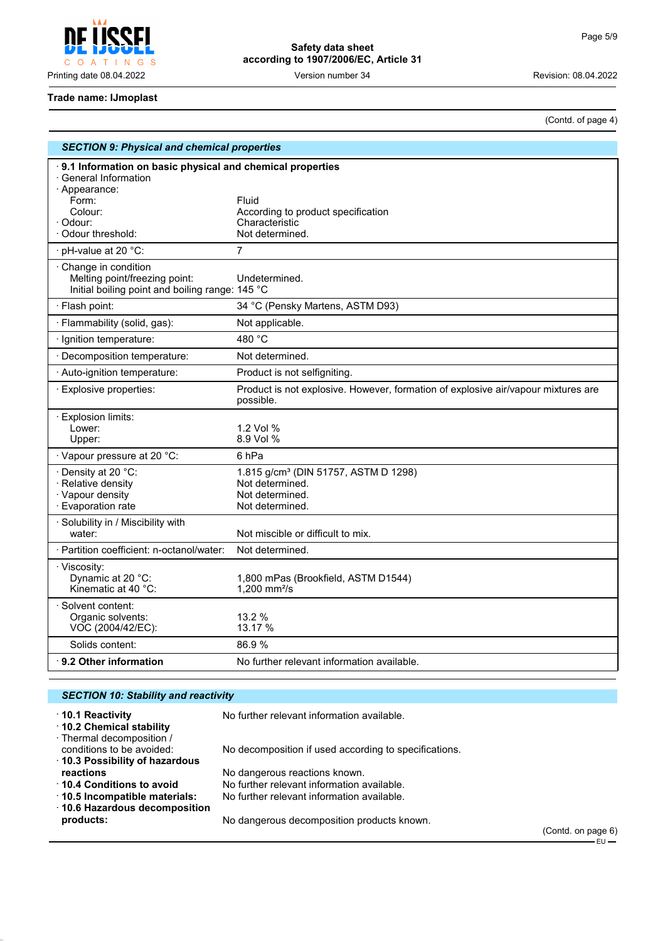

| Safety data sheet                     |  |
|---------------------------------------|--|
| according to 1907/2006/EC, Article 31 |  |

(Contd. of page 4)

#### **Trade name: IJmoplast**

| <b>SECTION 9: Physical and chemical properties</b>                                                      |                                                                                                |  |
|---------------------------------------------------------------------------------------------------------|------------------------------------------------------------------------------------------------|--|
| 9.1 Information on basic physical and chemical properties<br>· General Information<br>· Appearance:     |                                                                                                |  |
| Form:                                                                                                   | Fluid                                                                                          |  |
| Colour:                                                                                                 | According to product specification                                                             |  |
| · Odour:<br>Odour threshold:                                                                            | Characteristic<br>Not determined.                                                              |  |
|                                                                                                         |                                                                                                |  |
| · pH-value at 20 °C:                                                                                    | 7                                                                                              |  |
| Change in condition<br>Melting point/freezing point:<br>Initial boiling point and boiling range: 145 °C | Undetermined.                                                                                  |  |
| · Flash point:                                                                                          | 34 °C (Pensky Martens, ASTM D93)                                                               |  |
| · Flammability (solid, gas):                                                                            | Not applicable.                                                                                |  |
| · Ignition temperature:                                                                                 | 480 °C                                                                                         |  |
| · Decomposition temperature:                                                                            | Not determined.                                                                                |  |
| · Auto-ignition temperature:                                                                            | Product is not selfigniting.                                                                   |  |
| · Explosive properties:                                                                                 | Product is not explosive. However, formation of explosive air/vapour mixtures are<br>possible. |  |
| $\cdot$ Explosion limits:                                                                               |                                                                                                |  |
| Lower:                                                                                                  | 1.2 Vol %                                                                                      |  |
| Upper:                                                                                                  | 8.9 Vol %                                                                                      |  |
| · Vapour pressure at 20 °C:                                                                             | 6 <sub>hPa</sub>                                                                               |  |
| · Density at 20 °C:                                                                                     | 1.815 g/cm <sup>3</sup> (DIN 51757, ASTM D 1298)                                               |  |
| · Relative density<br>· Vapour density                                                                  | Not determined.<br>Not determined.                                                             |  |
| · Evaporation rate                                                                                      | Not determined.                                                                                |  |
| · Solubility in / Miscibility with                                                                      |                                                                                                |  |
| water:                                                                                                  | Not miscible or difficult to mix.                                                              |  |
| · Partition coefficient: n-octanol/water:                                                               | Not determined.                                                                                |  |
| · Viscosity:                                                                                            |                                                                                                |  |
| Dynamic at 20 °C:<br>Kinematic at 40 °C:                                                                | 1,800 mPas (Brookfield, ASTM D1544)<br>1,200 mm <sup>2</sup> /s                                |  |
|                                                                                                         |                                                                                                |  |
| · Solvent content:<br>Organic solvents:                                                                 | 13.2 %                                                                                         |  |
| VOC (2004/42/EC):                                                                                       | 13.17 %                                                                                        |  |
| Solids content:                                                                                         | 86.9%                                                                                          |  |
| $\cdot$ 9.2 Other information                                                                           | No further relevant information available.                                                     |  |

#### *SECTION 10: Stability and reactivity* · **10.1 Reactivity** No further relevant information available. · **10.2 Chemical stability** · Thermal decomposition / No decomposition if used according to specifications. · **10.3 Possibility of hazardous reactions**<br>**10.4 Conditions to avoid** No further relevant information a No further relevant information available. · **10.5 Incompatible materials:** No further relevant information available. · **10.6 Hazardous decomposition products:** No dangerous decomposition products known.

(Contd. on page 6) – EU —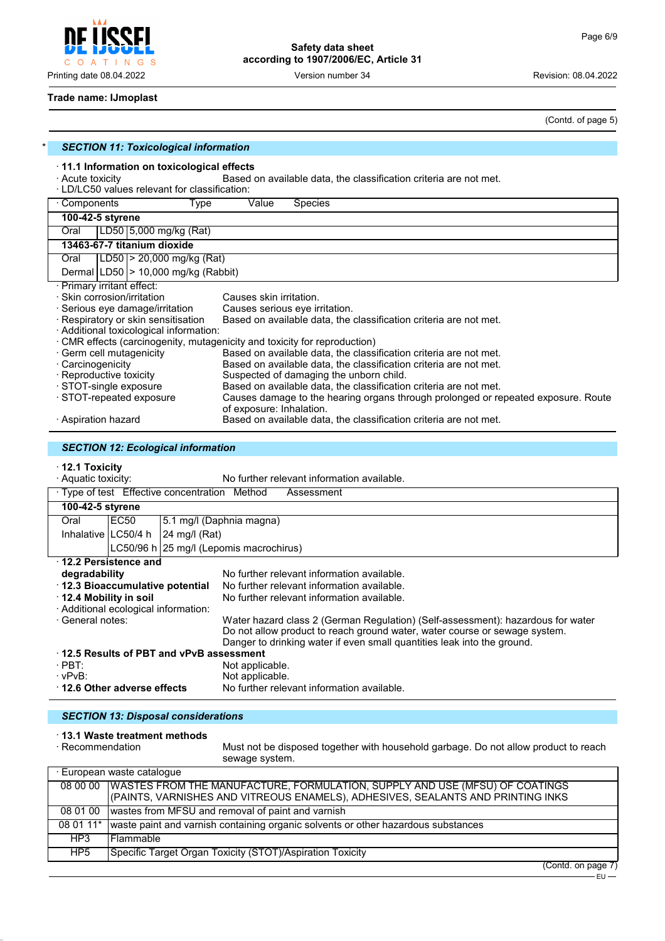$\mathsf{C}$  $\circ$  $\overline{A}$ INGS  $\top$ 

**Safety data sheet according to 1907/2006/EC, Article 31**

Printing date 08.04.2022 Version number 34 Revision: 08.04.2022

#### **Trade name: IJmoplast**

(Contd. of page 5)

| <b>SECTION 11: Toxicological information</b>                                                                                                                                                |                                                                                                               |  |  |  |
|---------------------------------------------------------------------------------------------------------------------------------------------------------------------------------------------|---------------------------------------------------------------------------------------------------------------|--|--|--|
| $\cdot$ 11.1 Information on toxicological effects<br>· Acute toxicity<br>Based on available data, the classification criteria are not met.<br>· LD/LC50 values relevant for classification: |                                                                                                               |  |  |  |
| Components<br>Type                                                                                                                                                                          | Value<br><b>Species</b>                                                                                       |  |  |  |
| 100-42-5 styrene                                                                                                                                                                            |                                                                                                               |  |  |  |
| LD50 5,000 mg/kg (Rat)<br>Oral                                                                                                                                                              |                                                                                                               |  |  |  |
| 13463-67-7 titanium dioxide                                                                                                                                                                 |                                                                                                               |  |  |  |
| LD50  > 20,000 mg/kg (Rat)<br>Oral                                                                                                                                                          |                                                                                                               |  |  |  |
| Dermal $ LD50  > 10,000$ mg/kg (Rabbit)                                                                                                                                                     |                                                                                                               |  |  |  |
| · Primary irritant effect:                                                                                                                                                                  |                                                                                                               |  |  |  |
| · Skin corrosion/irritation                                                                                                                                                                 | Causes skin irritation.                                                                                       |  |  |  |
| $\cdot$ Serious eye damage/irritation                                                                                                                                                       | Causes serious eye irritation.                                                                                |  |  |  |
| · Respiratory or skin sensitisation                                                                                                                                                         | Based on available data, the classification criteria are not met.                                             |  |  |  |
| · Additional toxicological information:                                                                                                                                                     |                                                                                                               |  |  |  |
|                                                                                                                                                                                             | CMR effects (carcinogenity, mutagenicity and toxicity for reproduction)                                       |  |  |  |
| · Germ cell mutagenicity                                                                                                                                                                    | Based on available data, the classification criteria are not met.                                             |  |  |  |
| · Carcinogenicity                                                                                                                                                                           | Based on available data, the classification criteria are not met.                                             |  |  |  |
| · Reproductive toxicity                                                                                                                                                                     | Suspected of damaging the unborn child.                                                                       |  |  |  |
| · STOT-single exposure                                                                                                                                                                      | Based on available data, the classification criteria are not met.                                             |  |  |  |
| · STOT-repeated exposure                                                                                                                                                                    | Causes damage to the hearing organs through prolonged or repeated exposure. Route<br>of exposure: Inhalation. |  |  |  |
| · Aspiration hazard                                                                                                                                                                         | Based on available data, the classification criteria are not met.                                             |  |  |  |

# *SECTION 12: Ecological information*

· **12.1 Toxicity**

| · Aquatic toxicity:                     |                                                             |                                                                                 |                                                                            | No further relevant information available. |  |
|-----------------------------------------|-------------------------------------------------------------|---------------------------------------------------------------------------------|----------------------------------------------------------------------------|--------------------------------------------|--|
|                                         | · Type of test Effective concentration Method<br>Assessment |                                                                                 |                                                                            |                                            |  |
| 100-42-5 styrene                        |                                                             |                                                                                 |                                                                            |                                            |  |
| Oral                                    | EC50                                                        | 5.1 mg/l (Daphnia magna)                                                        |                                                                            |                                            |  |
|                                         | Inhalative LC50/4 h                                         | $ 24 \text{ mg}/I \text{ (Rat)} $                                               |                                                                            |                                            |  |
|                                         |                                                             | LC50/96 h 25 mg/l (Lepomis macrochirus)                                         |                                                                            |                                            |  |
|                                         | 12.2 Persistence and                                        |                                                                                 |                                                                            |                                            |  |
| degradability                           |                                                             |                                                                                 |                                                                            | No further relevant information available. |  |
| 12.3 Bioaccumulative potential          |                                                             | No further relevant information available.                                      |                                                                            |                                            |  |
| 12.4 Mobility in soil                   |                                                             |                                                                                 |                                                                            | No further relevant information available. |  |
| · Additional ecological information:    |                                                             |                                                                                 |                                                                            |                                            |  |
| · General notes:                        |                                                             | Water hazard class 2 (German Regulation) (Self-assessment): hazardous for water |                                                                            |                                            |  |
|                                         |                                                             |                                                                                 | Do not allow product to reach ground water, water course or sewage system. |                                            |  |
|                                         |                                                             |                                                                                 | Danger to drinking water if even small quantities leak into the ground.    |                                            |  |
| 12.5 Results of PBT and vPvB assessment |                                                             |                                                                                 |                                                                            |                                            |  |
| $\cdot$ PBT:                            |                                                             |                                                                                 | Not applicable.                                                            |                                            |  |
| $\cdot$ vPvB:                           |                                                             |                                                                                 | Not applicable.                                                            |                                            |  |
| $\cdot$ 12.6 Other adverse effects      |                                                             |                                                                                 |                                                                            | No further relevant information available. |  |

#### *SECTION 13: Disposal considerations*

# · **13.1 Waste treatment methods**

Must not be disposed together with household garbage. Do not allow product to reach sewage system.

| · European waste catalogue |                                                                                                                                                                           |  |  |
|----------------------------|---------------------------------------------------------------------------------------------------------------------------------------------------------------------------|--|--|
|                            | 08 00 00   WASTES FROM THE MANUFACTURE, FORMULATION, SUPPLY AND USE (MFSU) OF COATINGS<br>(PAINTS, VARNISHES AND VITREOUS ENAMELS), ADHESIVES, SEALANTS AND PRINTING INKS |  |  |
| 08 01 00                   | wastes from MFSU and removal of paint and varnish                                                                                                                         |  |  |
| 08 01 11*                  | waste paint and varnish containing organic solvents or other hazardous substances                                                                                         |  |  |
| HP3                        | l Flammable.                                                                                                                                                              |  |  |
| HP <sub>5</sub>            | Specific Target Organ Toxicity (STOT)/Aspiration Toxicity                                                                                                                 |  |  |

(Contd. on page 7)  $-EU \rightarrow$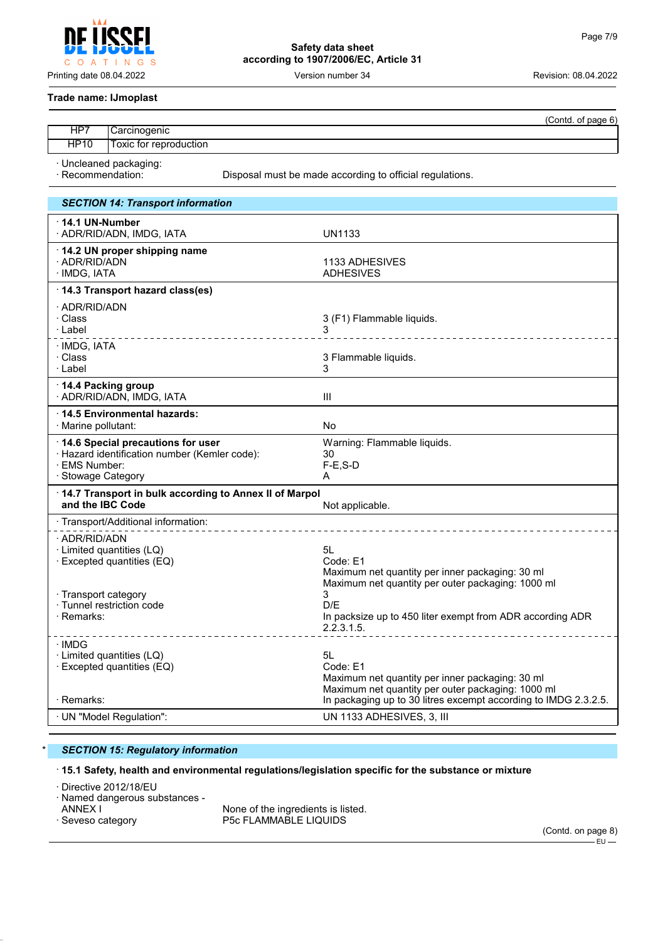O A T INGS

**Safety data sheet according to 1907/2006/EC, Article 31**

Printing date 08.04.2022 Version number 34 Revision: 08.04.2022

#### **Trade name: IJmoplast**

|                                             |                        |                                                          | (Contd. of page 6) |  |
|---------------------------------------------|------------------------|----------------------------------------------------------|--------------------|--|
| HP7                                         | Carcinogenic_          |                                                          |                    |  |
| <b>HP10</b>                                 | Toxic for reproduction |                                                          |                    |  |
| · Uncleaned packaging:<br>· Recommendation: |                        | Disposal must be made according to official regulations. |                    |  |
| <b>SECTION 14: Transport information</b>    |                        |                                                          |                    |  |
| $\cdot$ 14.1 UN-Number                      |                        |                                                          |                    |  |

| . . VII-IIUIIINV<br>· ADR/RID/ADN, IMDG, IATA                                                                                               | <b>UN1133</b>                                                                                                                                                                                                 |
|---------------------------------------------------------------------------------------------------------------------------------------------|---------------------------------------------------------------------------------------------------------------------------------------------------------------------------------------------------------------|
| 14.2 UN proper shipping name<br>· ADR/RID/ADN<br>· IMDG, IATA                                                                               | 1133 ADHESIVES<br><b>ADHESIVES</b>                                                                                                                                                                            |
| 14.3 Transport hazard class(es)                                                                                                             |                                                                                                                                                                                                               |
| · ADR/RID/ADN<br>· Class<br>· Label<br><u>.</u>                                                                                             | 3 (F1) Flammable liquids.                                                                                                                                                                                     |
| · IMDG, IATA<br>· Class<br>· Label                                                                                                          | 3 Flammable liquids.<br>3                                                                                                                                                                                     |
| 14.4 Packing group<br>· ADR/RID/ADN, IMDG, IATA                                                                                             | Ш                                                                                                                                                                                                             |
| ⋅14.5 Environmental hazards:<br>· Marine pollutant:                                                                                         | No                                                                                                                                                                                                            |
| 14.6 Special precautions for user<br>· Hazard identification number (Kemler code):<br>· EMS Number:<br>· Stowage Category                   | Warning: Flammable liquids.<br>30<br>$F-E$ , S-D<br>A                                                                                                                                                         |
| 14.7 Transport in bulk according to Annex II of Marpol<br>and the IBC Code                                                                  |                                                                                                                                                                                                               |
| · Transport/Additional information:                                                                                                         | Not applicable.                                                                                                                                                                                               |
| · ADR/RID/ADN<br>· Limited quantities (LQ)<br>· Excepted quantities (EQ)<br>· Transport category<br>· Tunnel restriction code<br>· Remarks: | 5L<br>Code: E1<br>Maximum net quantity per inner packaging: 30 ml<br>Maximum net quantity per outer packaging: 1000 ml<br>3<br>D/F<br>In packsize up to 450 liter exempt from ADR according ADR<br>2.2.3.1.5. |
| · IMDG<br>· Limited quantities (LQ)<br>$\cdot$ Excepted quantities (EQ)<br>· Remarks:                                                       | 5L<br>Code: E1<br>Maximum net quantity per inner packaging: 30 ml<br>Maximum net quantity per outer packaging: 1000 ml<br>In packaging up to 30 litres excempt according to IMDG 2.3.2.5.                     |
| · UN "Model Regulation":                                                                                                                    | UN 1133 ADHESIVES, 3, III                                                                                                                                                                                     |

# \* *SECTION 15: Regulatory information*

# · **15.1 Safety, health and environmental regulations/legislation specific for the substance or mixture**

· Directive 2012/18/EU

· Named dangerous substances -

ANNEX I  $\overline{a}$  ANNEX I  $\overline{a}$  None of the ingredients is listed. P5c FLAMMABLE LIQUIDS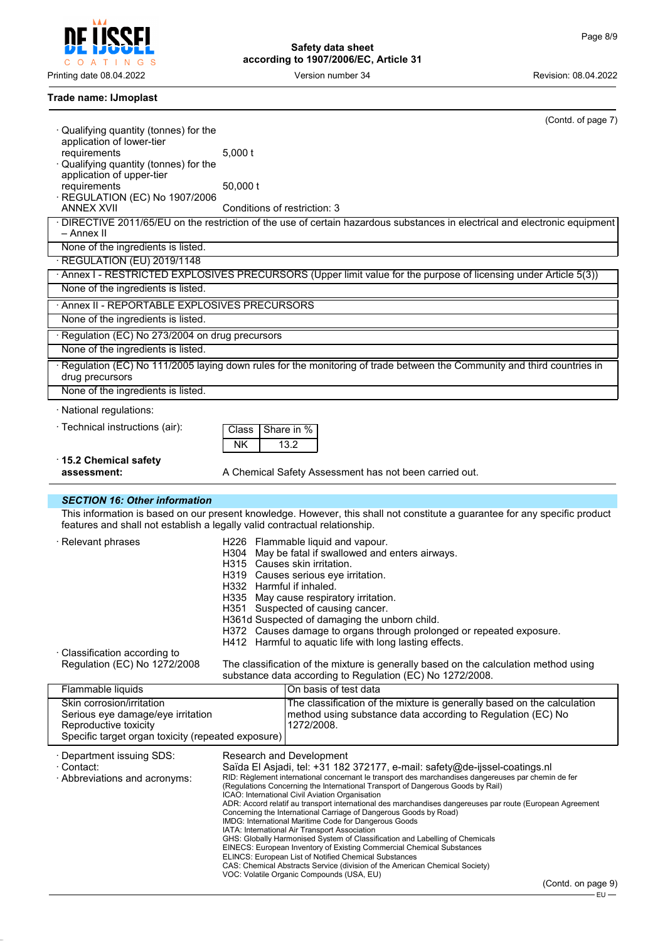Į C O A T I N G S

**Safety data sheet according to 1907/2006/EC, Article 31**

Printing date 08.04.2022 **Version number 34** Version 100 Version 2022

# **Trade name: IJmoplast**

|                                                                            |                              | (Contd. of page 7)                                                                                                                                                                |
|----------------------------------------------------------------------------|------------------------------|-----------------------------------------------------------------------------------------------------------------------------------------------------------------------------------|
| Qualifying quantity (tonnes) for the<br>application of lower-tier          |                              |                                                                                                                                                                                   |
| requirements                                                               | $5,000$ t                    |                                                                                                                                                                                   |
| Qualifying quantity (tonnes) for the                                       |                              |                                                                                                                                                                                   |
| application of upper-tier<br>requirements                                  | 50,000 t                     |                                                                                                                                                                                   |
| REGULATION (EC) No 1907/2006                                               |                              |                                                                                                                                                                                   |
| <b>ANNEX XVII</b>                                                          | Conditions of restriction: 3 |                                                                                                                                                                                   |
| - Annex II                                                                 |                              | · DIRECTIVE 2011/65/EU on the restriction of the use of certain hazardous substances in electrical and electronic equipment                                                       |
| None of the ingredients is listed.                                         |                              |                                                                                                                                                                                   |
| REGULATION (EU) 2019/1148                                                  |                              |                                                                                                                                                                                   |
| None of the ingredients is listed.                                         |                              | · Annex I - RESTRICTED EXPLOSIVES PRECURSORS (Upper limit value for the purpose of licensing under Article 5(3))                                                                  |
| Annex II - REPORTABLE EXPLOSIVES PRECURSORS                                |                              |                                                                                                                                                                                   |
| None of the ingredients is listed.                                         |                              |                                                                                                                                                                                   |
| · Regulation (EC) No 273/2004 on drug precursors                           |                              |                                                                                                                                                                                   |
| None of the ingredients is listed.                                         |                              |                                                                                                                                                                                   |
|                                                                            |                              | Regulation (EC) No 111/2005 laying down rules for the monitoring of trade between the Community and third countries in                                                            |
| drug precursors                                                            |                              |                                                                                                                                                                                   |
| None of the ingredients is listed.                                         |                              |                                                                                                                                                                                   |
| · National regulations:                                                    |                              |                                                                                                                                                                                   |
| · Technical instructions (air):                                            | Class                        | Share in %                                                                                                                                                                        |
|                                                                            | <b>NK</b>                    | 13.2                                                                                                                                                                              |
| 15.2 Chemical safety                                                       |                              |                                                                                                                                                                                   |
| assessment:                                                                |                              | A Chemical Safety Assessment has not been carried out.                                                                                                                            |
| <b>SECTION 16: Other information</b>                                       |                              |                                                                                                                                                                                   |
| features and shall not establish a legally valid contractual relationship. |                              | This information is based on our present knowledge. However, this shall not constitute a guarantee for any specific product                                                       |
| · Relevant phrases                                                         |                              | H226 Flammable liquid and vapour.                                                                                                                                                 |
|                                                                            |                              | H304 May be fatal if swallowed and enters airways.                                                                                                                                |
|                                                                            |                              | H315 Causes skin irritation.<br>H319 Causes serious eye irritation.                                                                                                               |
|                                                                            | H332 Harmful if inhaled.     |                                                                                                                                                                                   |
|                                                                            |                              | H335 May cause respiratory irritation.                                                                                                                                            |
|                                                                            |                              | H351 Suspected of causing cancer.<br>H361d Suspected of damaging the unborn child.                                                                                                |
|                                                                            |                              | H372 Causes damage to organs through prolonged or repeated exposure.                                                                                                              |
|                                                                            |                              | H412 Harmful to aquatic life with long lasting effects.                                                                                                                           |
| · Classification according to<br>Regulation (EC) No 1272/2008              |                              | The classification of the mixture is generally based on the calculation method using                                                                                              |
|                                                                            |                              | substance data according to Regulation (EC) No 1272/2008.                                                                                                                         |
| Flammable liquids                                                          |                              | On basis of test data                                                                                                                                                             |
| Skin corrosion/irritation                                                  |                              | The classification of the mixture is generally based on the calculation                                                                                                           |
| Serious eye damage/eye irritation<br>Reproductive toxicity                 |                              | method using substance data according to Regulation (EC) No<br>1272/2008.                                                                                                         |
| Specific target organ toxicity (repeated exposure)                         |                              |                                                                                                                                                                                   |
|                                                                            |                              |                                                                                                                                                                                   |
| · Department issuing SDS:<br>· Contact:                                    |                              | Research and Development                                                                                                                                                          |
|                                                                            |                              |                                                                                                                                                                                   |
| · Abbreviations and acronyms:                                              |                              | Saïda El Asjadi, tel: +31 182 372177, e-mail: safety@de-ijssel-coatings.nl<br>RID: Règlement international concernant le transport des marchandises dangereuses par chemin de fer |
|                                                                            |                              | (Regulations Concerning the International Transport of Dangerous Goods by Rail)<br>ICAO: International Civil Aviation Organisation                                                |
|                                                                            |                              | ADR: Accord relatif au transport international des marchandises dangereuses par route (European Agreement                                                                         |
|                                                                            |                              | Concerning the International Carriage of Dangerous Goods by Road)<br>IMDG: International Maritime Code for Dangerous Goods                                                        |
|                                                                            |                              | IATA: International Air Transport Association                                                                                                                                     |
|                                                                            |                              | GHS: Globally Harmonised System of Classification and Labelling of Chemicals<br>EINECS: European Inventory of Existing Commercial Chemical Substances                             |
|                                                                            |                              | <b>ELINCS: European List of Notified Chemical Substances</b><br>CAS: Chemical Abstracts Service (division of the American Chemical Society)                                       |